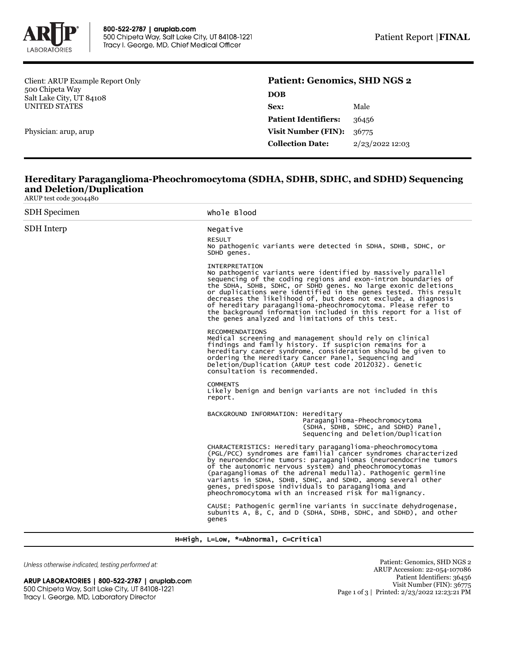

Client: ARUP Example Report Only 500 Chipeta Way Salt Lake City, UT 84108 UNITED STATES

Physician: arup, arup

## **Patient: Genomics, SHD NGS 2 DOB Sex:** Male **Patient Identifiers:** 36456

| <b>Visit Number (FIN):</b> $36775$ |                   |
|------------------------------------|-------------------|
| <b>Collection Date:</b>            | $2/23/2022$ 12:03 |

## **Hereditary Paraganglioma-Pheochromocytoma (SDHA, SDHB, SDHC, and SDHD) Sequencing and Deletion/Duplication**

ARUP test code 3004480

| <b>SDH</b> Specimen | Whole Blood                                                                                                                                                                                                                                                                                                                                                                                                                                                                                                                                              |  |  |
|---------------------|----------------------------------------------------------------------------------------------------------------------------------------------------------------------------------------------------------------------------------------------------------------------------------------------------------------------------------------------------------------------------------------------------------------------------------------------------------------------------------------------------------------------------------------------------------|--|--|
| <b>SDH</b> Interp   | Negative<br><b>RESULT</b><br>No pathogenic variants were detected in SDHA, SDHB, SDHC, or<br>SDHD genes.                                                                                                                                                                                                                                                                                                                                                                                                                                                 |  |  |
|                     | <b>INTERPRETATION</b><br>No pathogenic variants were identified by massively parallel<br>sequencing of the coding regions and exon-intron boundaries of<br>the SDHA, SDHB, SDHC, or SDHD genes. No large exonic deletions<br>or duplications were identified in the genes tested. This result<br>decreases the likelihood of, but does not exclude, a diagnosis<br>of hereditary paraganglioma-pheochromocytoma. Please refer to<br>the background information included in this report for a list of<br>the genes analyzed and limitations of this test. |  |  |
|                     | <b>RECOMMENDATIONS</b><br>Medical screening and management should rely on clinical<br>findings and family history. If suspicion remains for a<br>hereditary cancer syndrome, consideration should be given to<br>ordering the Hereditary Cancer Panel, Sequencing and<br>Deletion/Duplication (ARUP test code 2012032). Genetic<br>consultation is recommended.                                                                                                                                                                                          |  |  |
|                     | <b>COMMENTS</b><br>Likely benign and benign variants are not included in this<br>report.                                                                                                                                                                                                                                                                                                                                                                                                                                                                 |  |  |
|                     | BACKGROUND INFORMATION: Hereditary<br>Paraganglioma-Pheochromocytoma<br>(SDHA, SDHB, SDHC, and SDHD) Panel,<br>Sequencing and Deletion/Duplication                                                                                                                                                                                                                                                                                                                                                                                                       |  |  |
|                     | CHARACTERISTICS: Hereditary paraganglioma-pheochromocytoma<br>(PGL/PCC) syndromes are familial cancer syndromes characterized<br>by neuroendocrine tumors: paragangliomas (neuroendocrine tumors<br>of the autonomic nervous system) and pheochromocytomas<br>(paragangliomas of the adrenal medulla). Pathogenic germline<br>variants in SDHA, SDHB, SDHC, and SDHD, among several other<br>genes, predispose individuals to paraganglioma and<br>pheochromocytoma with an increased risk for malignancy.                                               |  |  |
|                     | CAUSE: Pathogenic germline variants in succinate dehydrogenase,<br>subunits A, B, C, and D (SDHA, SDHB, SDHC, and SDHD), and other<br>genes                                                                                                                                                                                                                                                                                                                                                                                                              |  |  |

H=High, L=Low, \*=Abnormal, C=Critical

Unless otherwise indicated, testing performed at:

ARUP LABORATORIES | 800-522-2787 | aruplab.com 500 Chipeta Way, Salt Lake City, UT 84108-1221 Tracy I. George, MD, Laboratory Director

Patient: Genomics, SHD NGS 2 ARUP Accession: 22-054-107086 Patient Identifiers: 36456 Visit Number (FIN): 36775 Page 1 of 3 | Printed: 2/23/2022 12:23:21 PM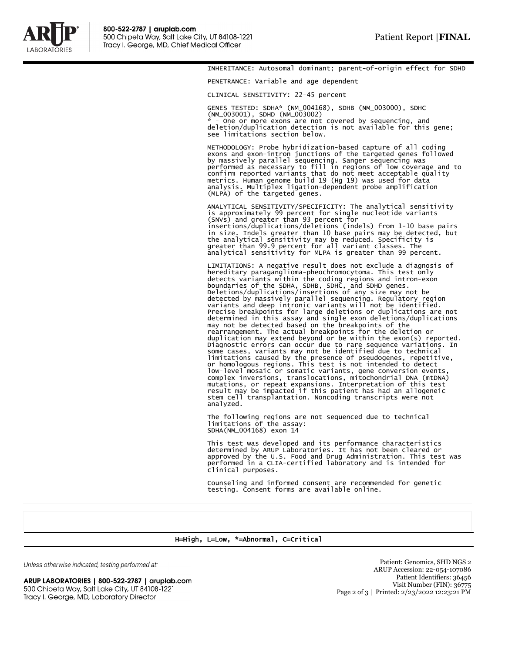

INHERITANCE: Autosomal dominant; parent-of-origin effect for SDHD

PENETRANCE: Variable and age dependent

CLINICAL SENSITIVITY: 22-45 percent

GENES TESTED: SDHA\* (NM\_004168), SDHB (NM\_003000), SDHC (NM\_003001), SDHD (NM\_003002)

\* - One or more exons are not covered by sequencing, and deletion/duplication detection is not available for this gene; see limitations section below.

METHODOLOGY: Probe hybridization-based capture of all coding exons and exon-intron junctions of the targeted genes followed by massively parallel sequencing. Sanger sequencing was performed as necessary to fill in regions of low coverage and to confirm reported variants that do not meet acceptable quality metrics. Human genome build 19 (Hg 19) was used for data analysis. Multiplex ligation-dependent probe amplification (MLPA) of the targeted genes.

ANALYTICAL SENSITIVITY/SPECIFICITY: The analytical sensitivity is approximately 99 percent for single nucleotide variants<br>(SNVs) and greater than 93 percent for<br>insertions/duplications/deletions (indels) from 1-10 base pairs<br>in size. Indels greater than 10 base pairs may be detected, the analytical sensitivity may be reduced. Specificity is greater than 99.9 percent for all variant classes. The analytical sensitivity for MLPA is greater than 99 percent.

LIMITATIONS: A negative result does not exclude a diagnosis of hereditary paraganglioma-pheochromocytoma. This test only detects variants within the coding regions and intron-exon<br>boundaries of the SDHA, SDHB, SDHC, and SDHD genes.<br>Deletions/duplications/insertions of any size may not be<br>detected by massively parallel sequencing. Regulatory Precise breakpoints for large deletions or duplications are not determined in this assay and single exon deletions/duplications may not be detected based on the breakpoints of the rearrangement. The actual breakpoints for the deletion or duplication may extend beyond or be within the exon(s) reported. Diagnostic errors can occur due to rare sequence variations. In<br>some cases, variants may not be identified due to technical<br>limitations caused by the presence of pseudogenes, repetitive,<br>or homologous regions. This test is low-level mosaic or somatic variants, gene conversion events, complex inversions, translocations, mitochondrial DNA (mtDNA) mutations, or repeat expansions. Interpretation of this test result may be impacted if this patient has had an allogeneic stem cell transplantation. Noncoding transcripts were not analyzed.

The following regions are not sequenced due to technical limitations of the assay: SDHA(NM\_004168) exon 14

This test was developed and its performance characteristics determined by ARUP Laboratories. It has not been cleared or approved by the U.S. Food and Drug Administration. This test was performed in a CLIA-certified laboratory and is intended for clinical purposes.

Counseling and informed consent are recommended for genetic testing. Consent forms are available online.

## H=High, L=Low, \*=Abnormal, C=Critical

Unless otherwise indicated, testing performed at:

ARUP LABORATORIES | 800-522-2787 | aruplab.com 500 Chipeta Way, Salt Lake City, UT 84108-1221 Tracy I. George, MD, Laboratory Director

Patient: Genomics, SHD NGS 2 ARUP Accession: 22-054-107086 Patient Identifiers: 36456 Visit Number (FIN): 36775 Page 2 of 3 | Printed: 2/23/2022 12:23:21 PM